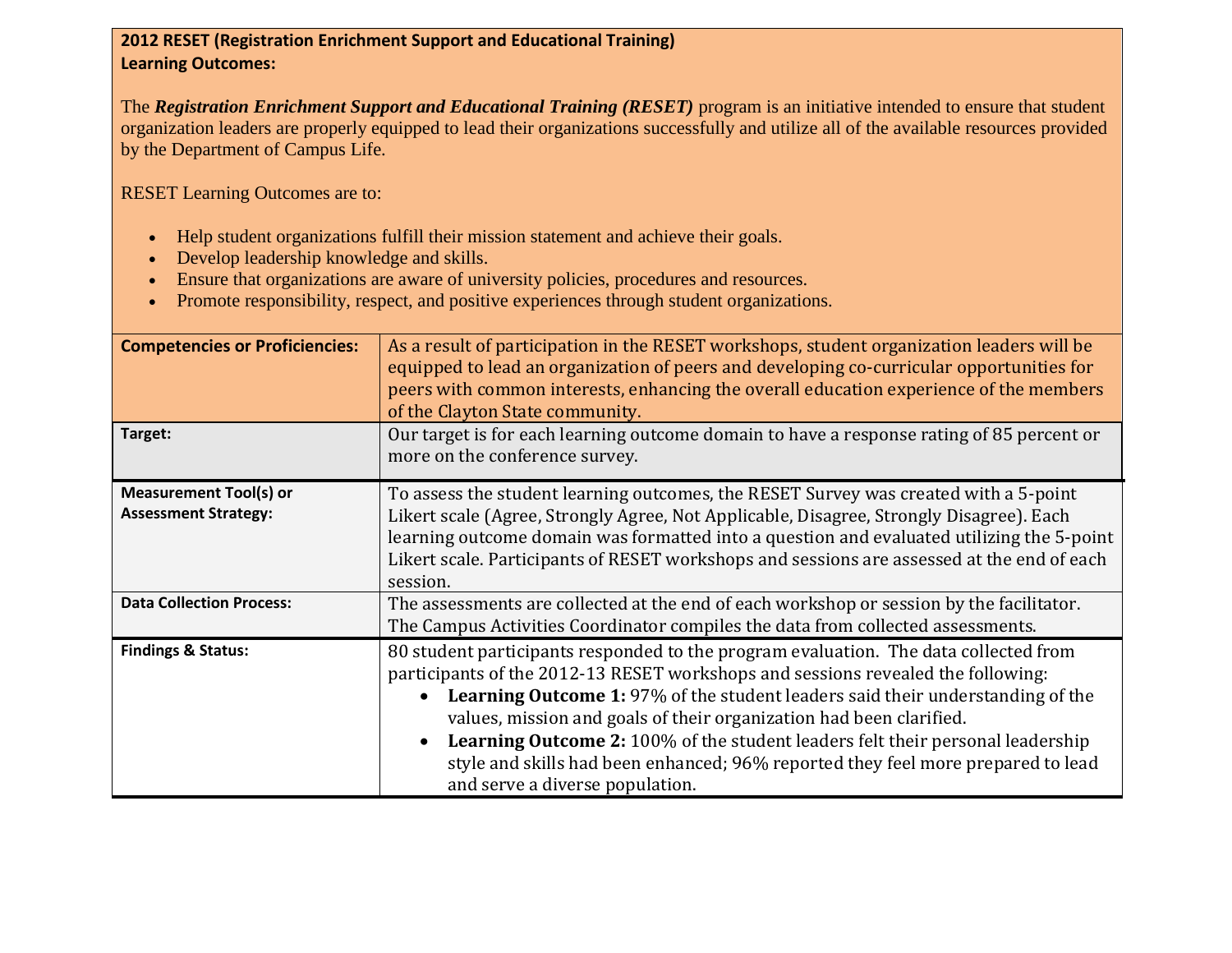## **2012 RESET (Registration Enrichment Support and Educational Training) Learning Outcomes:**

The *Registration Enrichment Support and Educational Training (RESET)* program is an initiative intended to ensure that student organization leaders are properly equipped to lead their organizations successfully and utilize all of the available resources provided by the Department of Campus Life.

RESET Learning Outcomes are to:

- Help student organizations fulfill their mission statement and achieve their goals.
- Develop leadership knowledge and skills.
- Ensure that organizations are aware of university policies, procedures and resources.
- Promote responsibility, respect, and positive experiences through student organizations.

| <b>Competencies or Proficiencies:</b>                        | As a result of participation in the RESET workshops, student organization leaders will be<br>equipped to lead an organization of peers and developing co-curricular opportunities for<br>peers with common interests, enhancing the overall education experience of the members<br>of the Clayton State community.                                                                                                                                                                                                                                       |
|--------------------------------------------------------------|----------------------------------------------------------------------------------------------------------------------------------------------------------------------------------------------------------------------------------------------------------------------------------------------------------------------------------------------------------------------------------------------------------------------------------------------------------------------------------------------------------------------------------------------------------|
| Target:                                                      | Our target is for each learning outcome domain to have a response rating of 85 percent or<br>more on the conference survey.                                                                                                                                                                                                                                                                                                                                                                                                                              |
| <b>Measurement Tool(s) or</b><br><b>Assessment Strategy:</b> | To assess the student learning outcomes, the RESET Survey was created with a 5-point<br>Likert scale (Agree, Strongly Agree, Not Applicable, Disagree, Strongly Disagree). Each<br>learning outcome domain was formatted into a question and evaluated utilizing the 5-point<br>Likert scale. Participants of RESET workshops and sessions are assessed at the end of each<br>session.                                                                                                                                                                   |
| <b>Data Collection Process:</b>                              | The assessments are collected at the end of each workshop or session by the facilitator.<br>The Campus Activities Coordinator compiles the data from collected assessments.                                                                                                                                                                                                                                                                                                                                                                              |
| <b>Findings &amp; Status:</b>                                | 80 student participants responded to the program evaluation. The data collected from<br>participants of the 2012-13 RESET workshops and sessions revealed the following:<br><b>Learning Outcome 1:</b> 97% of the student leaders said their understanding of the<br>values, mission and goals of their organization had been clarified.<br><b>Learning Outcome 2: 100% of the student leaders felt their personal leadership</b><br>style and skills had been enhanced; 96% reported they feel more prepared to lead<br>and serve a diverse population. |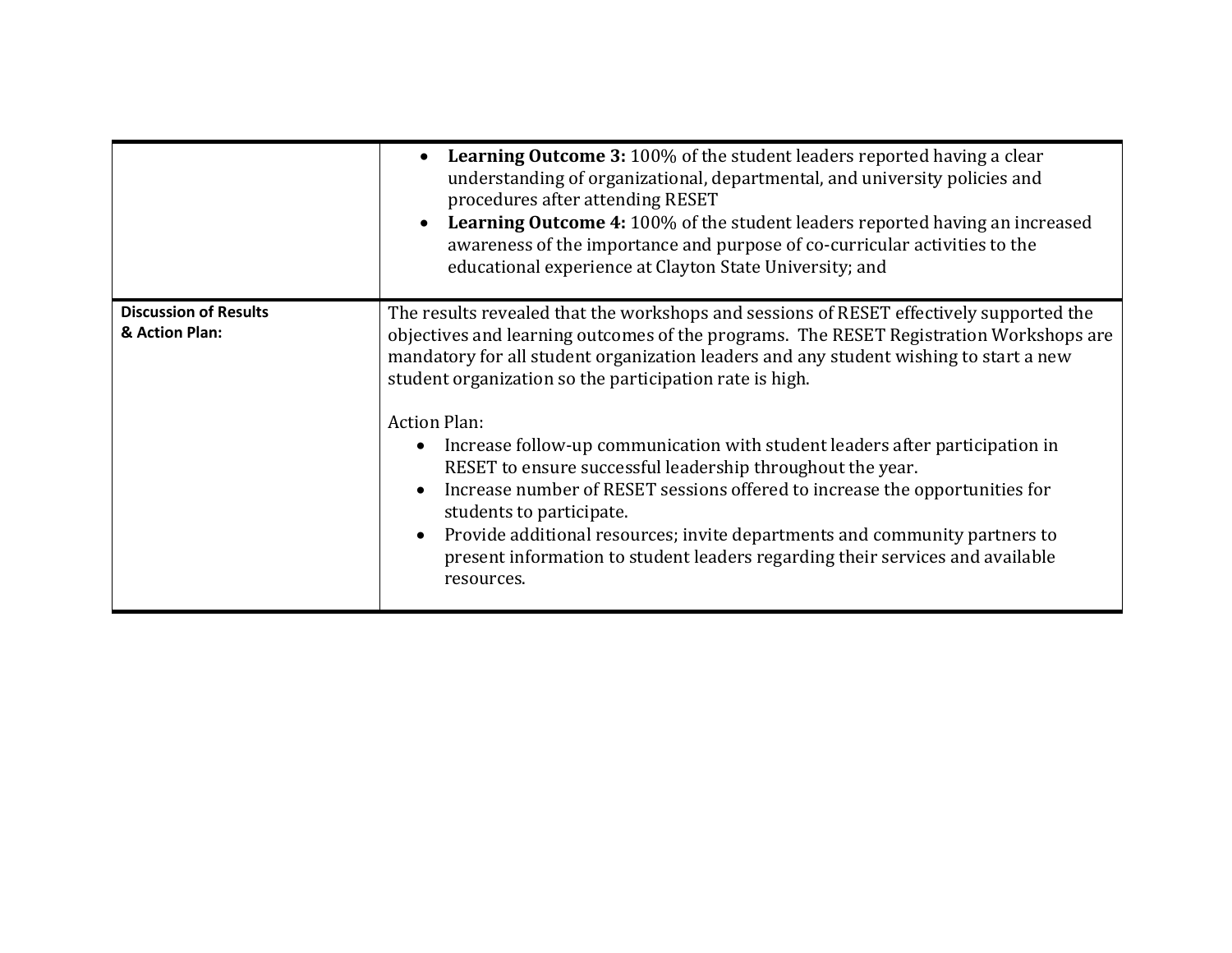|                                                | <b>Learning Outcome 3: 100% of the student leaders reported having a clear</b><br>understanding of organizational, departmental, and university policies and<br>procedures after attending RESET<br><b>Learning Outcome 4: 100% of the student leaders reported having an increased</b><br>awareness of the importance and purpose of co-curricular activities to the<br>educational experience at Clayton State University; and                                                                                                                                                                                                                                                                                                                                                                   |
|------------------------------------------------|----------------------------------------------------------------------------------------------------------------------------------------------------------------------------------------------------------------------------------------------------------------------------------------------------------------------------------------------------------------------------------------------------------------------------------------------------------------------------------------------------------------------------------------------------------------------------------------------------------------------------------------------------------------------------------------------------------------------------------------------------------------------------------------------------|
| <b>Discussion of Results</b><br>& Action Plan: | The results revealed that the workshops and sessions of RESET effectively supported the<br>objectives and learning outcomes of the programs. The RESET Registration Workshops are<br>mandatory for all student organization leaders and any student wishing to start a new<br>student organization so the participation rate is high.<br><b>Action Plan:</b><br>Increase follow-up communication with student leaders after participation in<br>RESET to ensure successful leadership throughout the year.<br>Increase number of RESET sessions offered to increase the opportunities for<br>students to participate.<br>Provide additional resources; invite departments and community partners to<br>present information to student leaders regarding their services and available<br>resources. |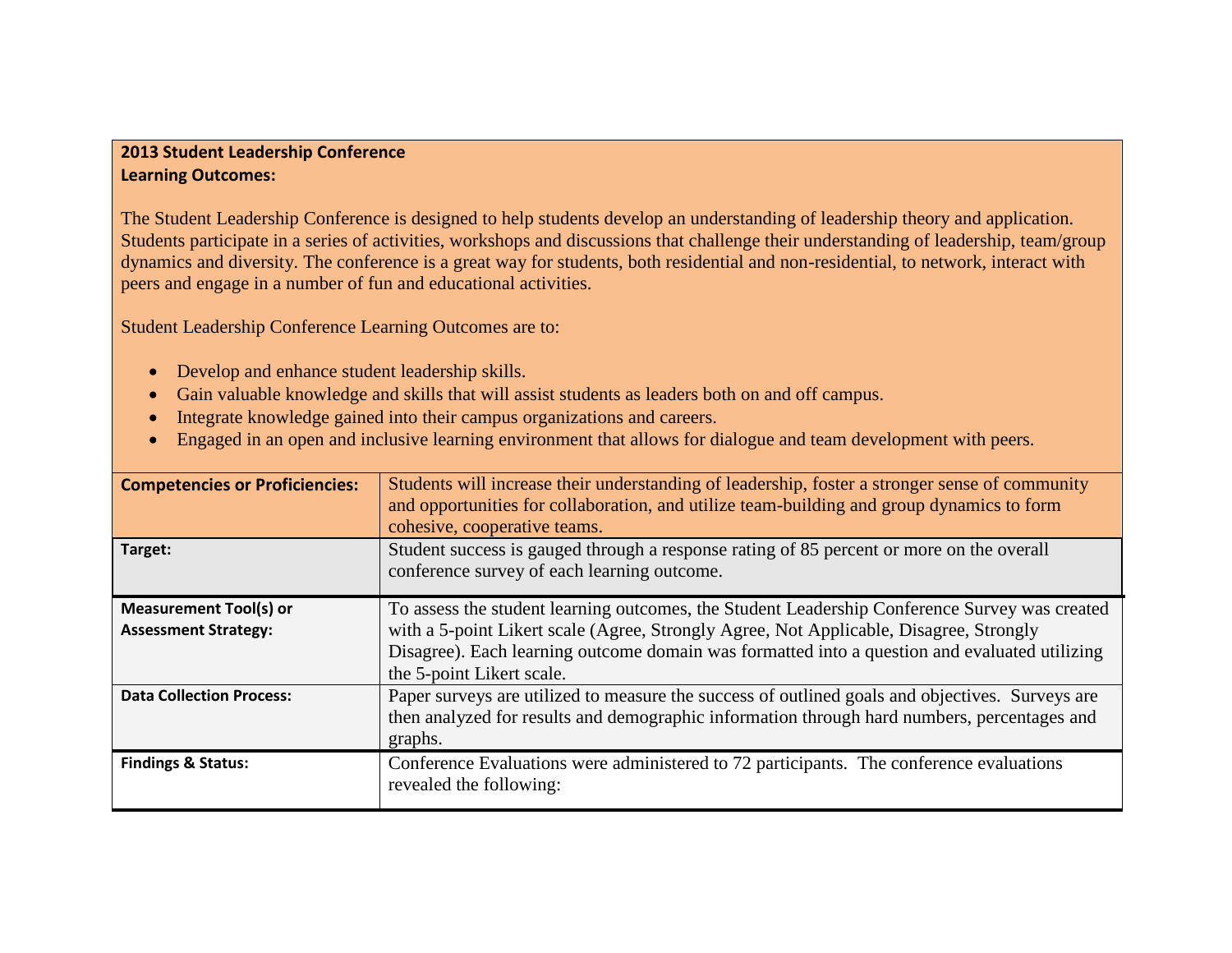## **2013 Student Leadership Conference Learning Outcomes:**

The Student Leadership Conference is designed to help students develop an understanding of leadership theory and application. Students participate in a series of activities, workshops and discussions that challenge their understanding of leadership, team/group dynamics and diversity. The conference is a great way for students, both residential and non-residential, to network, interact with peers and engage in a number of fun and educational activities.

Student Leadership Conference Learning Outcomes are to:

- Develop and enhance student leadership skills.
- Gain valuable knowledge and skills that will assist students as leaders both on and off campus.
- Integrate knowledge gained into their campus organizations and careers.
- Engaged in an open and inclusive learning environment that allows for dialogue and team development with peers.

| <b>Competencies or Proficiencies:</b>                        | Students will increase their understanding of leadership, foster a stronger sense of community<br>and opportunities for collaboration, and utilize team-building and group dynamics to form<br>cohesive, cooperative teams.                                                                                           |
|--------------------------------------------------------------|-----------------------------------------------------------------------------------------------------------------------------------------------------------------------------------------------------------------------------------------------------------------------------------------------------------------------|
| Target:                                                      | Student success is gauged through a response rating of 85 percent or more on the overall<br>conference survey of each learning outcome.                                                                                                                                                                               |
| <b>Measurement Tool(s) or</b><br><b>Assessment Strategy:</b> | To assess the student learning outcomes, the Student Leadership Conference Survey was created<br>with a 5-point Likert scale (Agree, Strongly Agree, Not Applicable, Disagree, Strongly<br>Disagree). Each learning outcome domain was formatted into a question and evaluated utilizing<br>the 5-point Likert scale. |
| <b>Data Collection Process:</b>                              | Paper surveys are utilized to measure the success of outlined goals and objectives. Surveys are<br>then analyzed for results and demographic information through hard numbers, percentages and<br>graphs.                                                                                                             |
| <b>Findings &amp; Status:</b>                                | Conference Evaluations were administered to 72 participants. The conference evaluations<br>revealed the following:                                                                                                                                                                                                    |